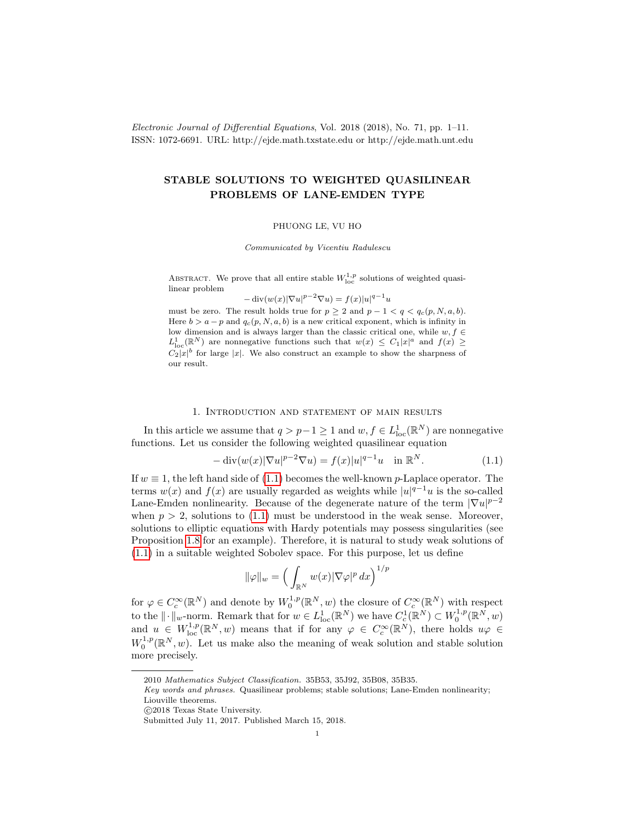Electronic Journal of Differential Equations, Vol. 2018 (2018), No. 71, pp. 1–11. ISSN: 1072-6691. URL: http://ejde.math.txstate.edu or http://ejde.math.unt.edu

# STABLE SOLUTIONS TO WEIGHTED QUASILINEAR PROBLEMS OF LANE-EMDEN TYPE

#### PHUONG LE, VU HO

Communicated by Vicentiu Radulescu

ABSTRACT. We prove that all entire stable  $W^{1,p}_{\text{loc}}$  solutions of weighted quasilinear problem

$$
-\operatorname{div}(w(x)|\nabla u|^{p-2}\nabla u) = f(x)|u|^{q-1}u
$$

must be zero. The result holds true for  $p \geq 2$  and  $p - 1 < q < q_c(p, N, a, b)$ . Here  $b > a - p$  and  $q_c(p, N, a, b)$  is a new critical exponent, which is infinity in low dimension and is always larger than the classic critical one, while  $w, f \in$  $L^1_{loc}(\mathbb{R}^N)$  are nonnegative functions such that  $w(x) \leq C_1|x|^a$  and  $f(x) \geq$  $C_2|x|^b$  for large |x|. We also construct an example to show the sharpness of our result.

## 1. Introduction and statement of main results

In this article we assume that  $q > p-1 \ge 1$  and  $w, f \in L^1_{loc}(\mathbb{R}^N)$  are nonnegative functions. Let us consider the following weighted quasilinear equation

<span id="page-0-0"></span>
$$
-\operatorname{div}(w(x)|\nabla u|^{p-2}\nabla u) = f(x)|u|^{q-1}u \quad \text{in } \mathbb{R}^N. \tag{1.1}
$$

If  $w \equiv 1$ , the left hand side of [\(1.1\)](#page-0-0) becomes the well-known p-Laplace operator. The terms  $w(x)$  and  $f(x)$  are usually regarded as weights while  $|u|^{q-1}u$  is the so-called Lane-Emden nonlinearity. Because of the degenerate nature of the term  $|\nabla u|^{p-2}$ when  $p > 2$ , solutions to [\(1.1\)](#page-0-0) must be understood in the weak sense. Moreover, solutions to elliptic equations with Hardy potentials may possess singularities (see Proposition [1.8](#page-3-0) for an example). Therefore, it is natural to study weak solutions of [\(1.1\)](#page-0-0) in a suitable weighted Sobolev space. For this purpose, let us define

$$
\|\varphi\|_{w} = \left(\int_{\mathbb{R}^N} w(x) |\nabla \varphi|^p \, dx\right)^{1/p}
$$

for  $\varphi \in C_c^{\infty}(\mathbb{R}^N)$  and denote by  $W_0^{1,p}(\mathbb{R}^N, w)$  the closure of  $C_c^{\infty}(\mathbb{R}^N)$  with respect to the  $\|\cdot\|_w$ -norm. Remark that for  $w \in L^1_{loc}(\mathbb{R}^N)$  we have  $C^1_c(\mathbb{R}^N) \subset W_0^{1,p}(\mathbb{R}^N, w)$ and  $u \in W^{1,p}_{loc}(\mathbb{R}^N, w)$  means that if for any  $\varphi \in C_c^{\infty}(\mathbb{R}^N)$ , there holds  $u\varphi \in C_c^{\infty}(\mathbb{R}^N)$  $W_0^{1,p}(\mathbb{R}^N, w)$ . Let us make also the meaning of weak solution and stable solution more precisely.

<sup>2010</sup> Mathematics Subject Classification. 35B53, 35J92, 35B08, 35B35.

Key words and phrases. Quasilinear problems; stable solutions; Lane-Emden nonlinearity; Liouville theorems.

c 2018 Texas State University.

Submitted July 11, 2017. Published March 15, 2018.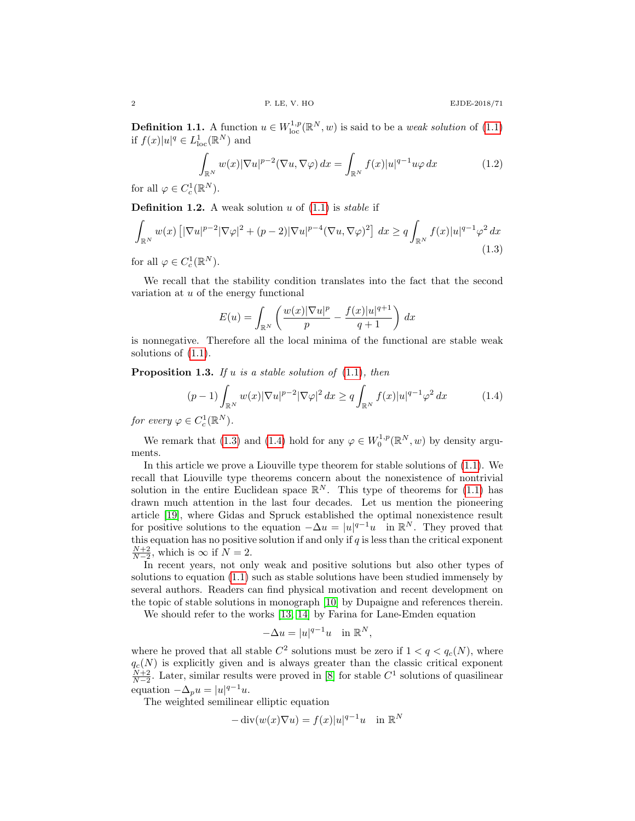**Definition 1.1.** A function  $u \in W^{1,p}_{loc}(\mathbb{R}^N, w)$  is said to be a *weak solution* of [\(1.1\)](#page-0-0) if  $f(x)|u|^q \in L^1_{loc}(\mathbb{R}^N)$  and

<span id="page-1-2"></span>
$$
\int_{\mathbb{R}^N} w(x) |\nabla u|^{p-2} (\nabla u, \nabla \varphi) dx = \int_{\mathbb{R}^N} f(x) |u|^{q-1} u \varphi dx \tag{1.2}
$$

for all  $\varphi \in C_c^1(\mathbb{R}^N)$ .

**Definition 1.2.** A weak solution u of  $(1.1)$  is *stable* if

<span id="page-1-0"></span>
$$
\int_{\mathbb{R}^N} w(x) \left[ |\nabla u|^{p-2} |\nabla \varphi|^2 + (p-2) |\nabla u|^{p-4} (\nabla u, \nabla \varphi)^2 \right] dx \ge q \int_{\mathbb{R}^N} f(x) |u|^{q-1} \varphi^2 dx
$$
\n(1.3)

for all  $\varphi \in C_c^1(\mathbb{R}^N)$ .

We recall that the stability condition translates into the fact that the second variation at  $u$  of the energy functional

$$
E(u) = \int_{\mathbb{R}^N} \left( \frac{w(x)|\nabla u|^p}{p} - \frac{f(x)|u|^{q+1}}{q+1} \right) dx
$$

is nonnegative. Therefore all the local minima of the functional are stable weak solutions of [\(1.1\)](#page-0-0).

**Proposition 1.3.** If u is a stable solution of  $(1.1)$ , then

<span id="page-1-1"></span>
$$
(p-1)\int_{\mathbb{R}^N} w(x)|\nabla u|^{p-2}|\nabla \varphi|^2 dx \ge q \int_{\mathbb{R}^N} f(x)|u|^{q-1} \varphi^2 dx \tag{1.4}
$$

for every  $\varphi \in C_c^1(\mathbb{R}^N)$ .

We remark that [\(1.3\)](#page-1-0) and [\(1.4\)](#page-1-1) hold for any  $\varphi \in W_0^{1,p}(\mathbb{R}^N, w)$  by density arguments.

In this article we prove a Liouville type theorem for stable solutions of [\(1.1\)](#page-0-0). We recall that Liouville type theorems concern about the nonexistence of nontrivial solution in the entire Euclidean space  $\mathbb{R}^N$ . This type of theorems for [\(1.1\)](#page-0-0) has drawn much attention in the last four decades. Let us mention the pioneering article [\[19\]](#page-9-0), where Gidas and Spruck established the optimal nonexistence result for positive solutions to the equation  $-\Delta u = |u|^{q-1}u$  in  $\mathbb{R}^N$ . They proved that this equation has no positive solution if and only if  $q$  is less than the critical exponent  $\frac{N+2}{N-2}$ , which is  $\infty$  if  $N=2$ .

In recent years, not only weak and positive solutions but also other types of solutions to equation [\(1.1\)](#page-0-0) such as stable solutions have been studied immensely by several authors. Readers can find physical motivation and recent development on the topic of stable solutions in monograph [\[10\]](#page-9-1) by Dupaigne and references therein.

We should refer to the works [\[13,](#page-9-2) [14\]](#page-9-3) by Farina for Lane-Emden equation

$$
-\Delta u = |u|^{q-1}u \quad \text{in } \mathbb{R}^N,
$$

where he proved that all stable  $C^2$  solutions must be zero if  $1 < q < q_c(N)$ , where  $q_c(N)$  is explicitly given and is always greater than the classic critical exponent  $\frac{N+2}{N-2}$ . Later, similar results were proved in [\[8\]](#page-9-4) for stable  $C^1$  solutions of quasilinear equation  $-\Delta_p u = |u|^{q-1}u$ .

The weighted semilinear elliptic equation

$$
-\operatorname{div}(w(x)\nabla u) = f(x)|u|^{q-1}u \quad \text{in } \mathbb{R}^N
$$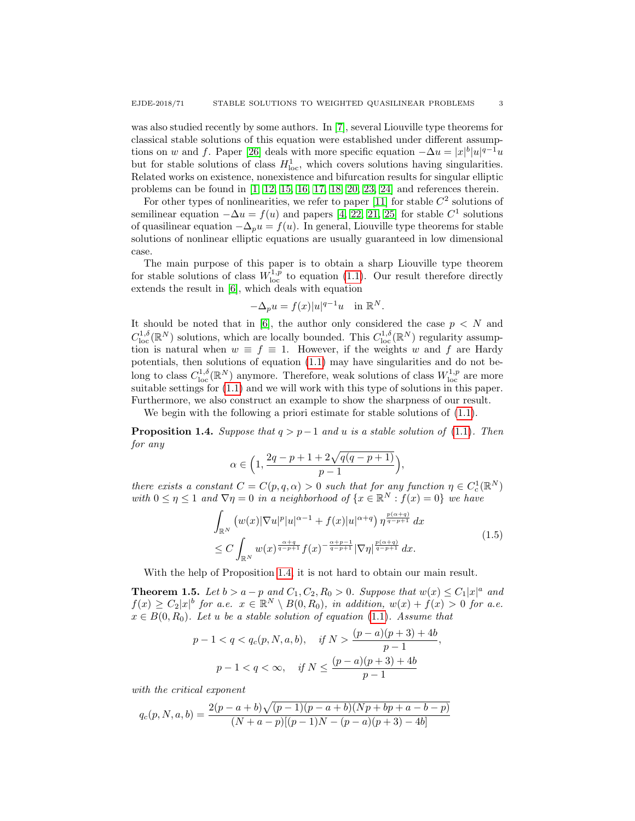was also studied recently by some authors. In [\[7\]](#page-9-5), several Liouville type theorems for classical stable solutions of this equation were established under different assump-tions on w and f. Paper [\[26\]](#page-10-0) deals with more specific equation  $-\Delta u = |x|^b |u|^{q-1}u$ but for stable solutions of class  $H_{\text{loc}}^1$ , which covers solutions having singularities. Related works on existence, nonexistence and bifurcation results for singular elliptic problems can be found in [\[1,](#page-9-6) [12,](#page-9-7) [15,](#page-9-8) [16,](#page-9-9) [17,](#page-9-10) [18,](#page-9-11) [20,](#page-9-12) [23,](#page-9-13) [24\]](#page-9-14) and references therein.

For other types of nonlinearities, we refer to paper  $[11]$  for stable  $C<sup>2</sup>$  solutions of semilinear equation  $-\Delta u = f(u)$  and papers [\[4,](#page-9-16) [22,](#page-9-17) [21,](#page-9-18) [25\]](#page-10-1) for stable  $C^1$  solutions of quasilinear equation  $-\Delta_p u = f(u)$ . In general, Liouville type theorems for stable solutions of nonlinear elliptic equations are usually guaranteed in low dimensional case.

The main purpose of this paper is to obtain a sharp Liouville type theorem for stable solutions of class  $W^{1,p}_{loc}$  to equation [\(1.1\)](#page-0-0). Our result therefore directly extends the result in [\[6\]](#page-9-19), which deals with equation

$$
-\Delta_p u = f(x)|u|^{q-1}u \quad \text{in } \mathbb{R}^N.
$$

It should be noted that in [\[6\]](#page-9-19), the author only considered the case  $p \leq N$  and  $C^{1,\delta}_{loc}(\mathbb{R}^N)$  solutions, which are locally bounded. This  $C^{1,\delta}_{loc}(\mathbb{R}^N)$  regularity assumption is natural when  $w \equiv f \equiv 1$ . However, if the weights w and f are Hardy potentials, then solutions of equation [\(1.1\)](#page-0-0) may have singularities and do not belong to class  $C^{1,\delta}_{loc}(\mathbb{R}^N)$  anymore. Therefore, weak solutions of class  $W^{1,p}_{loc}$  are more suitable settings for  $(1.1)$  and we will work with this type of solutions in this paper. Furthermore, we also construct an example to show the sharpness of our result.

We begin with the following a priori estimate for stable solutions of  $(1.1)$ .

<span id="page-2-0"></span>**Proposition 1.4.** Suppose that  $q > p-1$  and u is a stable solution of [\(1.1\)](#page-0-0). Then for any

$$
\alpha \in \Big(1, \frac{2q-p+1+2\sqrt{q(q-p+1)}}{p-1}\Big),
$$

there exists a constant  $C = C(p, q, \alpha) > 0$  such that for any function  $\eta \in C_c^1(\mathbb{R}^N)$ with  $0 \leq \eta \leq 1$  and  $\nabla \eta = 0$  in a neighborhood of  $\{x \in \mathbb{R}^N : f(x) = 0\}$  we have

<span id="page-2-2"></span>
$$
\int_{\mathbb{R}^N} \left( w(x) |\nabla u|^p |u|^{\alpha-1} + f(x) |u|^{\alpha+q} \right) \eta^{\frac{p(\alpha+q)}{q-p+1}} dx \n\leq C \int_{\mathbb{R}^N} w(x)^{\frac{\alpha+q}{q-p+1}} f(x)^{-\frac{\alpha+p-1}{q-p+1}} |\nabla \eta|^{\frac{p(\alpha+q)}{q-p+1}} dx.
$$
\n(1.5)

With the help of Proposition [1.4,](#page-2-0) it is not hard to obtain our main result.

<span id="page-2-1"></span>**Theorem 1.5.** Let  $b > a - p$  and  $C_1, C_2, R_0 > 0$ . Suppose that  $w(x) \leq C_1 |x|^a$  and  $f(x) \geq C_2|x|^b$  for a.e.  $x \in \mathbb{R}^N \setminus B(0, R_0)$ , in addition,  $w(x) + f(x) > 0$  for a.e.  $x \in B(0, R_0)$ . Let u be a stable solution of equation [\(1.1\)](#page-0-0). Assume that

$$
p-1 < q < q_c(p, N, a, b), \quad \text{if } N > \frac{(p-a)(p+3) + 4b}{p-1},
$$

$$
p-1 < q < \infty, \quad \text{if } N \le \frac{(p-a)(p+3) + 4b}{p-1}
$$

with the critical exponent

$$
q_c(p, N, a, b) = \frac{2(p - a + b)\sqrt{(p - 1)(p - a + b)(Np + bp + a - b - p)}}{(N + a - p)[(p - 1)N - (p - a)(p + 3) - 4b]}
$$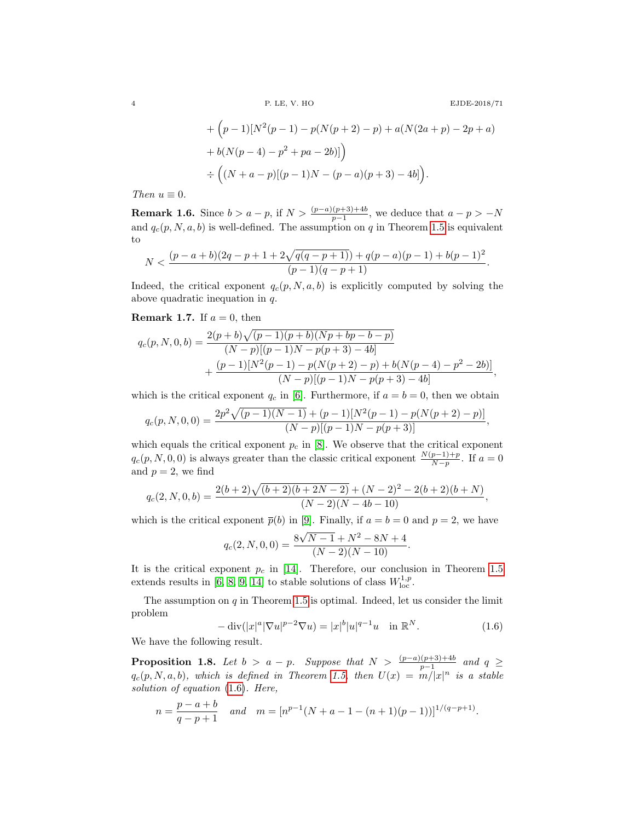4 P. LE, V. HO EJDE-2018/71

+
$$
(p-1)[N^2(p-1) - p(N(p+2) - p) + a(N(2a + p) - 2p + a)
$$
  
+ $b(N(p-4) - p^2 + pa - 2b)]$   
 $\div ((N + a - p)[(p-1)N - (p - a)(p + 3) - 4b]).$ 

Then  $u \equiv 0$ .

<span id="page-3-2"></span>**Remark 1.6.** Since  $b > a - p$ , if  $N > \frac{(p-a)(p+3)+4b}{p-1}$ , we deduce that  $a - p > -N$ and  $q_c(p, N, a, b)$  is well-defined. The assumption on q in Theorem [1.5](#page-2-1) is equivalent to

$$
N < \frac{(p-a+b)(2q-p+1+2\sqrt{q(q-p+1)})+q(p-a)(p-1)+b(p-1)^2}{(p-1)(q-p+1)}.
$$

Indeed, the critical exponent  $q_c(p, N, a, b)$  is explicitly computed by solving the above quadratic inequation in q.

# **Remark 1.7.** If  $a = 0$ , then

$$
q_c(p, N, 0, b) = \frac{2(p + b)\sqrt{(p - 1)(p + b)(Np + bp - b - p)}}{(N - p)[(p - 1)N - p(p + 3) - 4b]}
$$
  
+ 
$$
\frac{(p - 1)[N^2(p - 1) - p(N(p + 2) - p) + b(N(p - 4) - p^2 - 2b)]}{(N - p)[(p - 1)N - p(p + 3) - 4b]},
$$

which is the critical exponent  $q_c$  in [\[6\]](#page-9-19). Furthermore, if  $a = b = 0$ , then we obtain

$$
q_c(p, N, 0, 0) = \frac{2p^2\sqrt{(p-1)(N-1)} + (p-1)[N^2(p-1) - p(N(p+2) - p)]}{(N-p)[(p-1)N - p(p+3)]},
$$

which equals the critical exponent  $p_c$  in [\[8\]](#page-9-4). We observe that the critical exponent  $q_c(p, N, 0, 0)$  is always greater than the classic critical exponent  $\frac{N(p-1)+p}{N-p}$ . If  $a=0$ and  $p = 2$ , we find

$$
q_c(2, N, 0, b) = \frac{2(b+2)\sqrt{(b+2)(b+2N-2)} + (N-2)^2 - 2(b+2)(b+N)}{(N-2)(N-4b-10)},
$$

which is the critical exponent  $\bar{p}(b)$  in [\[9\]](#page-9-20). Finally, if  $a = b = 0$  and  $p = 2$ , we have

$$
q_c(2, N, 0, 0) = \frac{8\sqrt{N-1} + N^2 - 8N + 4}{(N-2)(N-10)}.
$$

It is the critical exponent  $p_c$  in [\[14\]](#page-9-3). Therefore, our conclusion in Theorem [1.5](#page-2-1) extends results in [\[6,](#page-9-19) [8,](#page-9-4) [9,](#page-9-20) [14\]](#page-9-3) to stable solutions of class  $W^{1,p}_{loc}$ .

The assumption on  $q$  in Theorem [1.5](#page-2-1) is optimal. Indeed, let us consider the limit problem

<span id="page-3-1"></span>
$$
-\operatorname{div}(|x|^a |\nabla u|^{p-2} \nabla u) = |x|^b |u|^{q-1} u \quad \text{in } \mathbb{R}^N. \tag{1.6}
$$

We have the following result.

<span id="page-3-0"></span>**Proposition 1.8.** Let  $b > a - p$ . Suppose that  $N > \frac{(p-a)(p+3)+4b}{p-1}$  and  $q \geq$  $q_c(p, N, a, b)$ , which is defined in Theorem [1.5,](#page-2-1) then  $U(x) = m/|x|^n$  is a stable solution of equation [\(1.6\)](#page-3-1). Here,

$$
n = \frac{p - a + b}{q - p + 1} \quad and \quad m = [n^{p-1}(N + a - 1 - (n + 1)(p - 1))]^{1/(q - p + 1)}.
$$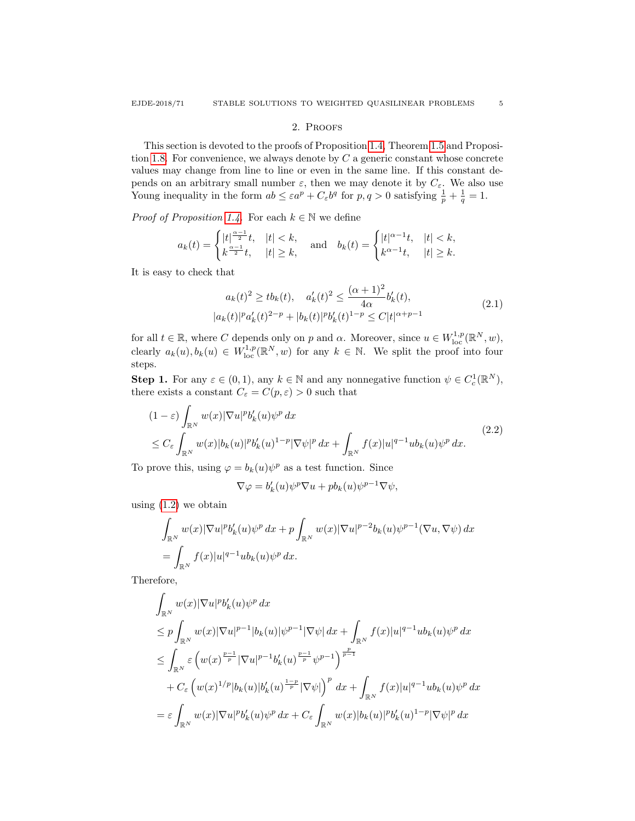### 2. Proofs

This section is devoted to the proofs of Proposition [1.4,](#page-2-0) Theorem [1.5](#page-2-1) and Proposi-tion [1.8.](#page-3-0) For convenience, we always denote by  $C$  a generic constant whose concrete values may change from line to line or even in the same line. If this constant depends on an arbitrary small number  $\varepsilon$ , then we may denote it by  $C_{\varepsilon}$ . We also use Young inequality in the form  $ab \leq \varepsilon a^p + C_{\varepsilon} b^q$  for  $p, q > 0$  satisfying  $\frac{1}{p} + \frac{1}{q} = 1$ .

*Proof of Proposition [1.4.](#page-2-0)* For each  $k \in \mathbb{N}$  we define

$$
a_k(t)=\begin{cases}|t|^{\frac{\alpha-1}{2}}t, & |t|
$$

It is easy to check that

<span id="page-4-1"></span>
$$
a_k(t)^2 \ge tb_k(t), \quad a'_k(t)^2 \le \frac{(\alpha+1)^2}{4\alpha}b'_k(t),
$$
  

$$
|a_k(t)|^p a'_k(t)^{2-p} + |b_k(t)|^p b'_k(t)^{1-p} \le C|t|^{\alpha+p-1}
$$
 (2.1)

for all  $t \in \mathbb{R}$ , where C depends only on p and  $\alpha$ . Moreover, since  $u \in W^{1,p}_{loc}(\mathbb{R}^N, w)$ , clearly  $a_k(u), b_k(u) \in W^{1,p}_{loc}(\mathbb{R}^N, w)$  for any  $k \in \mathbb{N}$ . We split the proof into four steps.

**Step 1.** For any  $\varepsilon \in (0,1)$ , any  $k \in \mathbb{N}$  and any nonnegative function  $\psi \in C_c^1(\mathbb{R}^N)$ , there exists a constant  $C_{\varepsilon} = C(p, \varepsilon) > 0$  such that

<span id="page-4-0"></span>
$$
(1 - \varepsilon) \int_{\mathbb{R}^N} w(x) |\nabla u|^p b'_k(u) \psi^p dx
$$
  
\n
$$
\leq C_{\varepsilon} \int_{\mathbb{R}^N} w(x) |b_k(u)|^p b'_k(u)^{1-p} |\nabla \psi|^p dx + \int_{\mathbb{R}^N} f(x) |u|^{q-1} ub_k(u) \psi^p dx.
$$
\n(2.2)

To prove this, using  $\varphi = b_k(u)\psi^p$  as a test function. Since

$$
\nabla \varphi = b'_k(u)\psi^p \nabla u + pb_k(u)\psi^{p-1} \nabla \psi,
$$

using  $(1.2)$  we obtain

$$
\int_{\mathbb{R}^N} w(x) |\nabla u|^p b'_k(u) \psi^p dx + p \int_{\mathbb{R}^N} w(x) |\nabla u|^{p-2} b_k(u) \psi^{p-1} (\nabla u, \nabla \psi) dx
$$
  
= 
$$
\int_{\mathbb{R}^N} f(x) |u|^{q-1} ub_k(u) \psi^p dx.
$$

Therefore,

$$
\begin{aligned} &\int_{\mathbb{R}^N} w(x)|\nabla u|^p b_k'(u)\psi^p dx \\ &\leq p \int_{\mathbb{R}^N} w(x)|\nabla u|^{p-1}|b_k(u)|\psi^{p-1}|\nabla \psi| dx + \int_{\mathbb{R}^N} f(x)|u|^{q-1}ub_k(u)\psi^p dx \\ &\leq \int_{\mathbb{R}^N} \varepsilon \left( w(x)^{\frac{p-1}{p}}|\nabla u|^{p-1}b_k'(u)^{\frac{p-1}{p}}\psi^{p-1} \right)^{\frac{p}{p-1}} \\ &+ C_\varepsilon \left( w(x)^{1/p}|b_k(u)|b_k'(u)^{\frac{1-p}{p}}|\nabla \psi| \right)^p dx + \int_{\mathbb{R}^N} f(x)|u|^{q-1}ub_k(u)\psi^p dx \\ &= \varepsilon \int_{\mathbb{R}^N} w(x)|\nabla u|^p b_k'(u)\psi^p dx + C_\varepsilon \int_{\mathbb{R}^N} w(x)|b_k(u)|^p b_k'(u)^{1-p}|\nabla \psi|^p dx \end{aligned}
$$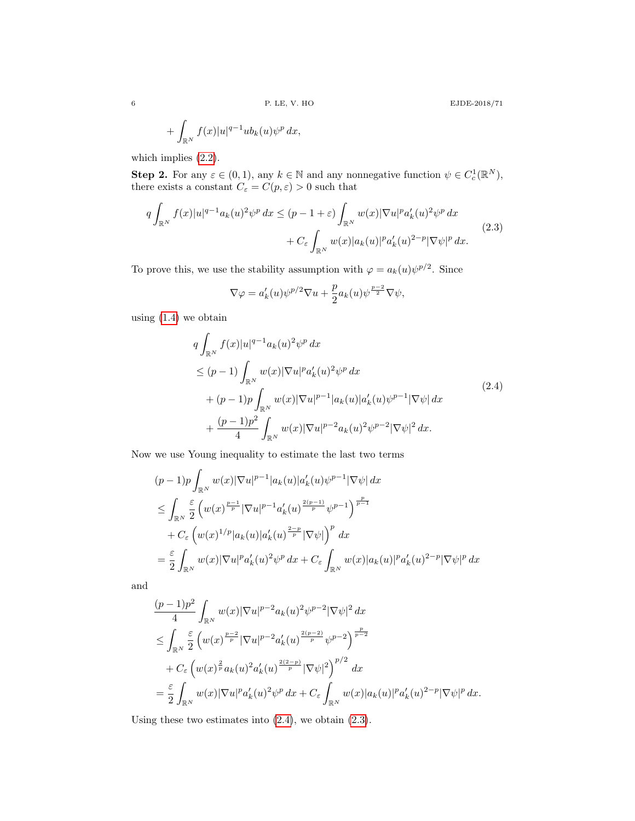$$
+ \int_{\mathbb{R}^N} f(x)|u|^{q-1}ub_k(u)\psi^p dx,
$$

which implies [\(2.2\)](#page-4-0).

**Step 2.** For any  $\varepsilon \in (0,1)$ , any  $k \in \mathbb{N}$  and any nonnegative function  $\psi \in C_c^1(\mathbb{R}^N)$ , there exists a constant  $C_\varepsilon=C(p,\varepsilon)>0$  such that

<span id="page-5-1"></span>
$$
q \int_{\mathbb{R}^N} f(x)|u|^{q-1} a_k(u)^2 \psi^p dx \le (p-1+\varepsilon) \int_{\mathbb{R}^N} w(x) |\nabla u|^p a'_k(u)^2 \psi^p dx
$$
  
+ 
$$
C_{\varepsilon} \int_{\mathbb{R}^N} w(x) |a_k(u)|^p a'_k(u)^{2-p} |\nabla \psi|^p dx.
$$
 (2.3)

To prove this, we use the stability assumption with  $\varphi = a_k(u)\psi^{p/2}$ . Since

$$
\nabla \varphi = a'_k(u)\psi^{p/2}\nabla u + \frac{p}{2}a_k(u)\psi^{\frac{p-2}{2}}\nabla \psi,
$$

using [\(1.4\)](#page-1-1) we obtain

<span id="page-5-0"></span>
$$
q \int_{\mathbb{R}^N} f(x)|u|^{q-1} a_k(u)^2 \psi^p dx
$$
  
\n
$$
\leq (p-1) \int_{\mathbb{R}^N} w(x)|\nabla u|^p a'_k(u)^2 \psi^p dx
$$
  
\n
$$
+ (p-1)p \int_{\mathbb{R}^N} w(x)|\nabla u|^{p-1} |a_k(u)| a'_k(u) \psi^{p-1} |\nabla \psi| dx
$$
  
\n
$$
+ \frac{(p-1)p^2}{4} \int_{\mathbb{R}^N} w(x)|\nabla u|^{p-2} a_k(u)^2 \psi^{p-2} |\nabla \psi|^2 dx.
$$
\n(2.4)

Now we use Young inequality to estimate the last two terms

$$
(p-1)p \int_{\mathbb{R}^N} w(x) |\nabla u|^{p-1} |a_k(u)| a'_k(u) \psi^{p-1} |\nabla \psi| dx
$$
  
\n
$$
\leq \int_{\mathbb{R}^N} \frac{\varepsilon}{2} \left( w(x)^{\frac{p-1}{p}} |\nabla u|^{p-1} a'_k(u)^{\frac{2(p-1)}{p}} \psi^{p-1} \right)^{\frac{p}{p-1}} + C_{\varepsilon} \left( w(x)^{1/p} |a_k(u)| a'_k(u)^{\frac{2-p}{p}} |\nabla \psi| \right)^p dx
$$
  
\n
$$
= \frac{\varepsilon}{2} \int_{\mathbb{R}^N} w(x) |\nabla u|^p a'_k(u)^2 \psi^p dx + C_{\varepsilon} \int_{\mathbb{R}^N} w(x) |a_k(u)|^p a'_k(u)^{2-p} |\nabla \psi|^p dx
$$

and

$$
\label{eq:2.10} \begin{split} &\frac{(p-1)p^2}{4}\int_{\mathbb{R}^N}w(x)|\nabla u|^{p-2}a_k(u)^2\psi^{p-2}|\nabla\psi|^2\,dx\\ &\leq \int_{\mathbb{R}^N}\frac{\varepsilon}{2}\left(w(x)^{\frac{p-2}{p}}|\nabla u|^{p-2}a_k'(u)^{\frac{2(p-2)}{p}}\psi^{p-2}\right)^{\frac{p}{p-2}}\\ &\quad +C_\varepsilon\left(w(x)^{\frac{2}{p}}a_k(u)^2a_k'(u)^{\frac{2(2-p)}{p}}|\nabla\psi|^2\right)^{p/2}\,dx\\ &=\frac{\varepsilon}{2}\int_{\mathbb{R}^N}w(x)|\nabla u|^p a_k'(u)^2\psi^p\,dx+C_\varepsilon\int_{\mathbb{R}^N}w(x)|a_k(u)|^p a_k'(u)^{2-p}|\nabla\psi|^p\,dx. \end{split}
$$

Using these two estimates into  $(2.4)$ , we obtain  $(2.3)$ .

6 P. LE, V. HO EJDE-2018/71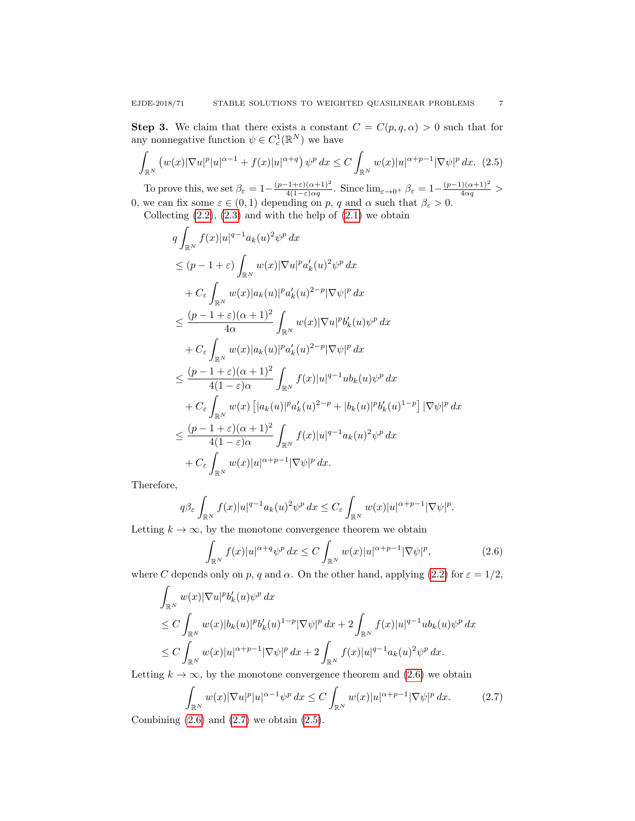**Step 3.** We claim that there exists a constant  $C = C(p,q,\alpha) > 0$  such that for any nonnegative function  $\psi \in C_c^1(\mathbb{R}^N)$  we have

<span id="page-6-2"></span>
$$
\int_{\mathbb{R}^N} \left( w(x) |\nabla u|^p |u|^{\alpha-1} + f(x) |u|^{\alpha+q} \right) \psi^p dx \le C \int_{\mathbb{R}^N} w(x) |u|^{\alpha+p-1} |\nabla \psi|^p dx. \tag{2.5}
$$

To prove this, we set  $\beta_{\varepsilon} = 1 - \frac{(p-1+\varepsilon)(\alpha+1)^2}{4(1-\varepsilon)\alpha q}$  $\frac{(1+\varepsilon)(\alpha+1)^2}{4(1-\varepsilon)\alpha q}$ . Since  $\lim_{\varepsilon\to 0^+} \beta_{\varepsilon} = 1 - \frac{(p-1)(\alpha+1)^2}{4\alpha q}$ 0, we can fix some  $\varepsilon \in (0,1)$  depending on p, q and  $\alpha$  such that  $\beta_{\varepsilon} > 0$ .

Collecting  $(2.2)$ ,  $(2.3)$  and with the help of  $(2.1)$  we obtain

$$
q \int_{\mathbb{R}^N} f(x)|u|^{q-1} a_k(u)^2 \psi^p dx
$$
  
\n
$$
\leq (p-1+\varepsilon) \int_{\mathbb{R}^N} w(x)|\nabla u|^p a'_k(u)^2 \psi^p dx
$$
  
\n
$$
+ C_{\varepsilon} \int_{\mathbb{R}^N} w(x)|a_k(u)|^p a'_k(u)^{2-p} |\nabla \psi|^p dx
$$
  
\n
$$
\leq \frac{(p-1+\varepsilon)(\alpha+1)^2}{4\alpha} \int_{\mathbb{R}^N} w(x)|\nabla u|^p b'_k(u) \psi^p dx
$$
  
\n
$$
+ C_{\varepsilon} \int_{\mathbb{R}^N} w(x)|a_k(u)|^p a'_k(u)^{2-p} |\nabla \psi|^p dx
$$
  
\n
$$
\leq \frac{(p-1+\varepsilon)(\alpha+1)^2}{4(1-\varepsilon)\alpha} \int_{\mathbb{R}^N} f(x)|u|^{q-1}ub_k(u) \psi^p dx
$$
  
\n
$$
+ C_{\varepsilon} \int_{\mathbb{R}^N} w(x) [|a_k(u)|^p a'_k(u)^{2-p} + |b_k(u)|^p b'_k(u)^{1-p}] |\nabla \psi|^p dx
$$
  
\n
$$
\leq \frac{(p-1+\varepsilon)(\alpha+1)^2}{4(1-\varepsilon)\alpha} \int_{\mathbb{R}^N} f(x)|u|^{q-1} a_k(u)^2 \psi^p dx
$$
  
\n
$$
+ C_{\varepsilon} \int_{\mathbb{R}^N} w(x)|u|^{\alpha+p-1} |\nabla \psi|^p dx.
$$

Therefore,

$$
q\beta_{\varepsilon}\int_{\mathbb{R}^N}f(x)|u|^{q-1}a_k(u)^2\psi^p\,dx\leq C_{\varepsilon}\int_{\mathbb{R}^N}w(x)|u|^{\alpha+p-1}|\nabla\psi|^p.
$$

Letting  $k \to \infty$ , by the monotone convergence theorem we obtain

<span id="page-6-0"></span>
$$
\int_{\mathbb{R}^N} f(x)|u|^{\alpha+q}\psi^p dx \le C \int_{\mathbb{R}^N} w(x)|u|^{\alpha+p-1} |\nabla \psi|^p, \tag{2.6}
$$

where C depends only on p, q and  $\alpha$ . On the other hand, applying [\(2.2\)](#page-4-0) for  $\varepsilon = 1/2$ ,

$$
\int_{\mathbb{R}^N} w(x) |\nabla u|^p b'_k(u) \psi^p dx
$$
\n
$$
\leq C \int_{\mathbb{R}^N} w(x) |b_k(u)|^p b'_k(u)^{1-p} |\nabla \psi|^p dx + 2 \int_{\mathbb{R}^N} f(x) |u|^{q-1} ab_k(u) \psi^p dx
$$
\n
$$
\leq C \int_{\mathbb{R}^N} w(x) |u|^{\alpha+p-1} |\nabla \psi|^p dx + 2 \int_{\mathbb{R}^N} f(x) |u|^{q-1} a_k(u)^2 \psi^p dx.
$$

Letting  $k \to \infty$ , by the monotone convergence theorem and [\(2.6\)](#page-6-0) we obtain

<span id="page-6-1"></span>
$$
\int_{\mathbb{R}^N} w(x) |\nabla u|^p |u|^{\alpha - 1} \psi^p dx \le C \int_{\mathbb{R}^N} w(x) |u|^{\alpha + p - 1} |\nabla \psi|^p dx.
$$
\n(2.7)

Combining  $(2.6)$  and  $(2.7)$  we obtain  $(2.5)$ .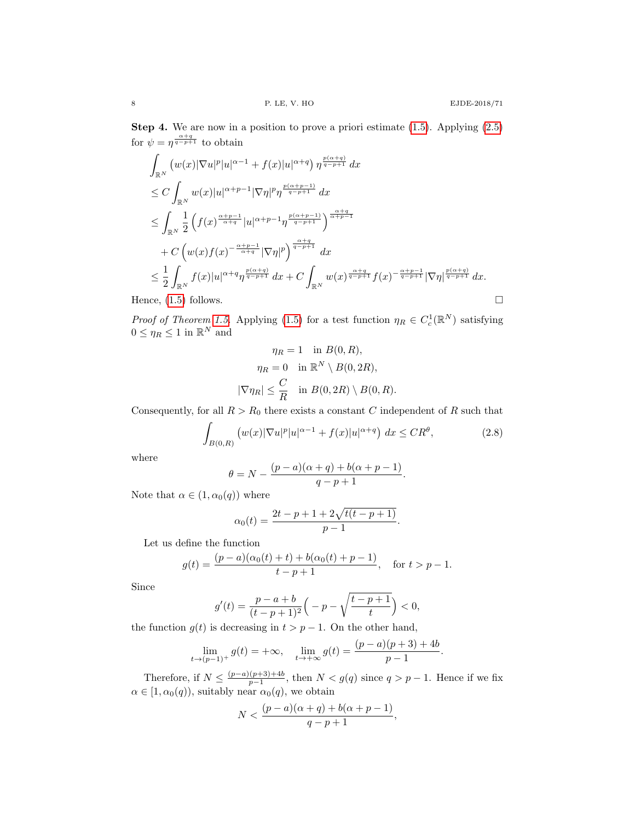Step 4. We are now in a position to prove a priori estimate [\(1.5\)](#page-2-2). Applying [\(2.5\)](#page-6-2) for  $\psi = \eta^{\frac{\alpha+q}{q-p+1}}$  to obtain

$$
\int_{\mathbb{R}^N} \left( w(x) |\nabla u|^p |u|^{\alpha-1} + f(x) |u|^{\alpha+q} \right) \eta^{\frac{p(\alpha+q)}{q-p+1}} dx
$$
\n
$$
\leq C \int_{\mathbb{R}^N} w(x) |u|^{\alpha+p-1} |\nabla \eta|^p \eta^{\frac{p(\alpha+p-1)}{q-p+1}} dx
$$
\n
$$
\leq \int_{\mathbb{R}^N} \frac{1}{2} \left( f(x)^{\frac{\alpha+p-1}{\alpha+q}} |u|^{\alpha+p-1} \eta^{\frac{p(\alpha+p-1)}{q-p+1}} \right)^{\frac{\alpha+q}{\alpha+p-1}}
$$
\n
$$
+ C \left( w(x) f(x)^{-\frac{\alpha+p-1}{\alpha+q}} |\nabla \eta|^p \right)^{\frac{\alpha+q}{q-p+1}} dx
$$
\n
$$
\leq \frac{1}{2} \int_{\mathbb{R}^N} f(x) |u|^{\alpha+q} \eta^{\frac{p(\alpha+q)}{q-p+1}} dx + C \int_{\mathbb{R}^N} w(x)^{\frac{\alpha+q}{q-p+1}} f(x)^{-\frac{\alpha+p-1}{q-p+1}} |\nabla \eta|^{\frac{p(\alpha+q)}{q-p+1}} dx.
$$
\nHence, (1.5) follows.

*Proof of Theorem [1.5.](#page-2-1)* Applying [\(1.5\)](#page-2-2) for a test function  $\eta_R \in C_c^1(\mathbb{R}^N)$  satisfying  $0 \leq \eta_R \leq 1$  in  $\mathbb{R}^N$  and

$$
\eta_R = 1 \quad \text{in } B(0, R),
$$

$$
\eta_R = 0 \quad \text{in } \mathbb{R}^N \setminus B(0, 2R),
$$

$$
|\nabla \eta_R| \leq \frac{C}{R} \quad \text{in } B(0, 2R) \setminus B(0, R).
$$

Consequently, for all  $R > R_0$  there exists a constant C independent of R such that

<span id="page-7-0"></span>
$$
\int_{B(0,R)} \left( w(x) |\nabla u|^p |u|^{\alpha-1} + f(x) |u|^{\alpha+q} \right) dx \leq C R^{\theta},\tag{2.8}
$$

where

$$
\theta = N - \frac{(p-a)(\alpha + q) + b(\alpha + p - 1)}{q - p + 1}.
$$

Note that  $\alpha \in (1, \alpha_0(q))$  where

$$
\alpha_0(t) = \frac{2t - p + 1 + 2\sqrt{t(t - p + 1)}}{p - 1}.
$$

Let us define the function

$$
g(t) = \frac{(p-a)(\alpha_0(t) + t) + b(\alpha_0(t) + p - 1)}{t - p + 1}, \quad \text{for } t > p - 1.
$$

Since

$$
g'(t) = \frac{p-a+b}{(t-p+1)^2} \left( -p - \sqrt{\frac{t-p+1}{t}} \right) < 0,
$$

the function  $g(t)$  is decreasing in  $t > p - 1$ . On the other hand,

$$
\lim_{t \to (p-1)^+} g(t) = +\infty, \quad \lim_{t \to +\infty} g(t) = \frac{(p-a)(p+3) + 4b}{p-1}.
$$

Therefore, if  $N \leq \frac{(p-a)(p+3)+4b}{p-1}$  $\frac{(p+3)+40}{p-1}$ , then  $N < g(q)$  since  $q > p-1$ . Hence if we fix  $\alpha \in [1, \alpha_0(q)),$  suitably near  $\alpha_0(q)$ , we obtain

$$
N < \frac{(p-a)(\alpha+q)+b(\alpha+p-1)}{q-p+1},
$$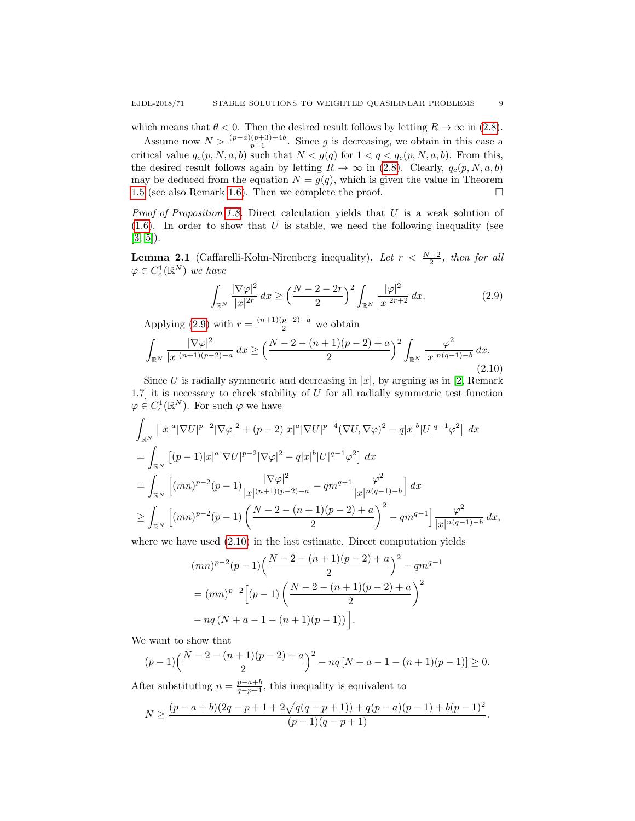which means that  $\theta < 0$ . Then the desired result follows by letting  $R \to \infty$  in [\(2.8\)](#page-7-0).

Assume now  $N > \frac{(p-a)(p+3)+4b}{p-1}$ . Since g is decreasing, we obtain in this case a critical value  $q_c(p, N, a, b)$  such that  $N < g(q)$  for  $1 < q < q_c(p, N, a, b)$ . From this, the desired result follows again by letting  $R \to \infty$  in [\(2.8\)](#page-7-0). Clearly,  $q_c(p, N, a, b)$ may be deduced from the equation  $N = g(q)$ , which is given the value in Theorem [1.5](#page-2-1) (see also Remark [1.6\)](#page-3-2). Then we complete the proof.  $\Box$ 

*Proof of Proposition [1.8.](#page-3-0)* Direct calculation yields that  $U$  is a weak solution of  $(1.6)$ . In order to show that U is stable, we need the following inequality (see  $[3, 5]$  $[3, 5]$ ).

**Lemma 2.1** (Caffarelli-Kohn-Nirenberg inequality). Let  $r < \frac{N-2}{2}$ , then for all  $\varphi \in C_c^1(\mathbb{R}^N)$  we have

<span id="page-8-0"></span>
$$
\int_{\mathbb{R}^N} \frac{|\nabla \varphi|^2}{|x|^{2r}} dx \ge \left(\frac{N-2-2r}{2}\right)^2 \int_{\mathbb{R}^N} \frac{|\varphi|^2}{|x|^{2r+2}} dx.
$$
 (2.9)

Applying [\(2.9\)](#page-8-0) with  $r = \frac{(n+1)(p-2)-a}{2}$  we obtain

<span id="page-8-1"></span>
$$
\int_{\mathbb{R}^N} \frac{|\nabla \varphi|^2}{|x|^{(n+1)(p-2)-a}} \, dx \ge \left(\frac{N-2-(n+1)(p-2)+a}{2}\right)^2 \int_{\mathbb{R}^N} \frac{\varphi^2}{|x|^{n(q-1)-b}} \, dx. \tag{2.10}
$$

Since U is radially symmetric and decreasing in  $|x|$ , by arguing as in [\[2,](#page-9-23) Remark] 1.7] it is necessary to check stability of  $U$  for all radially symmetric test function  $\varphi \in C_c^1(\mathbb{R}^N)$ . For such  $\varphi$  we have

$$
\int_{\mathbb{R}^N} \left[ |x|^a |\nabla U|^{p-2} |\nabla \varphi|^2 + (p-2)|x|^a |\nabla U|^{p-4} (\nabla U, \nabla \varphi)^2 - q |x|^b |U|^{q-1} \varphi^2 \right] dx
$$
\n
$$
= \int_{\mathbb{R}^N} \left[ (p-1)|x|^a |\nabla U|^{p-2} |\nabla \varphi|^2 - q |x|^b |U|^{q-1} \varphi^2 \right] dx
$$
\n
$$
= \int_{\mathbb{R}^N} \left[ (mn)^{p-2} (p-1) \frac{|\nabla \varphi|^2}{|x|^{(n+1)(p-2)-a}} - q m^{q-1} \frac{\varphi^2}{|x|^{n(q-1)-b}} \right] dx
$$
\n
$$
\geq \int_{\mathbb{R}^N} \left[ (mn)^{p-2} (p-1) \left( \frac{N-2-(n+1)(p-2)+a}{2} \right)^2 - q m^{q-1} \right] \frac{\varphi^2}{|x|^{n(q-1)-b}} dx,
$$

where we have used [\(2.10\)](#page-8-1) in the last estimate. Direct computation yields

$$
(mn)^{p-2}(p-1)\left(\frac{N-2-(n+1)(p-2)+a}{2}\right)^2 - qm^{q-1}
$$
  
= 
$$
(mn)^{p-2}\left[(p-1)\left(\frac{N-2-(n+1)(p-2)+a}{2}\right)^2 - nq(N+a-1-(n+1)(p-1))\right].
$$

We want to show that

$$
(p-1)\left(\frac{N-2-(n+1)(p-2)+a}{2}\right)^2 - nq[N+a-1-(n+1)(p-1)] \ge 0.
$$

After substituting  $n = \frac{p-a+b}{q-p+1}$ , this inequality is equivalent to

$$
N \ge \frac{(p-a+b)(2q-p+1+2\sqrt{q(q-p+1)})+q(p-a)(p-1)+b(p-1)^2}{(p-1)(q-p+1)}.
$$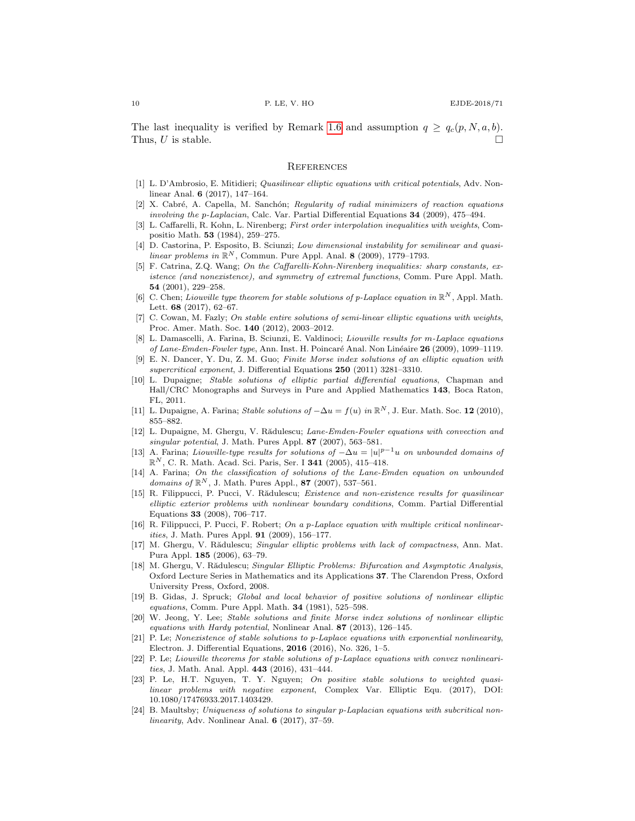The last inequality is verified by Remark [1.6](#page-3-2) and assumption  $q \geq q_c(p, N, a, b)$ . Thus, U is stable.

### **REFERENCES**

- <span id="page-9-6"></span>[1] L. D'Ambrosio, E. Mitidieri; Quasilinear elliptic equations with critical potentials, Adv. Nonlinear Anal. 6 (2017), 147–164.
- <span id="page-9-23"></span>[2] X. Cabré, A. Capella, M. Sanchón; Regularity of radial minimizers of reaction equations involving the p-Laplacian, Calc. Var. Partial Differential Equations 34 (2009), 475–494.
- <span id="page-9-21"></span>[3] L. Caffarelli, R. Kohn, L. Nirenberg; First order interpolation inequalities with weights, Compositio Math. 53 (1984), 259–275.
- <span id="page-9-16"></span>[4] D. Castorina, P. Esposito, B. Sciunzi; Low dimensional instability for semilinear and quasilinear problems in  $\mathbb{R}^N$ , Commun. Pure Appl. Anal. 8 (2009), 1779–1793.
- <span id="page-9-22"></span>[5] F. Catrina, Z.Q. Wang; On the Caffarelli-Kohn-Nirenberg inequalities: sharp constants, existence (and nonexistence), and symmetry of extremal functions, Comm. Pure Appl. Math. 54 (2001), 229–258.
- <span id="page-9-19"></span>[6] C. Chen; Liouville type theorem for stable solutions of p-Laplace equation in  $\mathbb{R}^N$ , Appl. Math. Lett. 68 (2017), 62–67.
- <span id="page-9-5"></span>[7] C. Cowan, M. Fazly; On stable entire solutions of semi-linear elliptic equations with weights, Proc. Amer. Math. Soc. 140 (2012), 2003–2012.
- <span id="page-9-4"></span>[8] L. Damascelli, A. Farina, B. Sciunzi, E. Valdinoci; Liouville results for m-Laplace equations of Lane-Emden-Fowler type, Ann. Inst. H. Poincaré Anal. Non Linéaire 26 (2009), 1099–1119.
- <span id="page-9-20"></span>[9] E. N. Dancer, Y. Du, Z. M. Guo; Finite Morse index solutions of an elliptic equation with supercritical exponent, J. Differential Equations 250 (2011) 3281–3310.
- <span id="page-9-1"></span>[10] L. Dupaigne; Stable solutions of elliptic partial differential equations, Chapman and Hall/CRC Monographs and Surveys in Pure and Applied Mathematics 143, Boca Raton, FL, 2011.
- <span id="page-9-15"></span>[11] L. Dupaigne, A. Farina; Stable solutions of  $-\Delta u = f(u)$  in  $\mathbb{R}^N$ , J. Eur. Math. Soc. 12 (2010), 855–882.
- <span id="page-9-7"></span>[12] L. Dupaigne, M. Ghergu, V. Rădulescu; Lane-Emden-Fowler equations with convection and singular potential, J. Math. Pures Appl. 87 (2007), 563–581.
- <span id="page-9-2"></span>[13] A. Farina; Liouville-type results for solutions of  $-\Delta u = |u|^{p-1}u$  on unbounded domains of  $\mathbb{R}^{N}$ , C. R. Math. Acad. Sci. Paris, Ser. I **341** (2005), 415-418.
- <span id="page-9-3"></span>[14] A. Farina; On the classification of solutions of the Lane-Emden equation on unbounded domains of  $\mathbb{R}^N$ , J. Math. Pures Appl., 87 (2007), 537-561.
- <span id="page-9-8"></span>[15] R. Filippucci, P. Pucci, V. Rădulescu; Existence and non-existence results for quasilinear elliptic exterior problems with nonlinear boundary conditions, Comm. Partial Differential Equations 33 (2008), 706–717.
- <span id="page-9-9"></span>[16] R. Filippucci, P. Pucci, F. Robert; On a p-Laplace equation with multiple critical nonlinearities, J. Math. Pures Appl. 91 (2009), 156–177.
- <span id="page-9-10"></span>[17] M. Ghergu, V. Rădulescu; Singular elliptic problems with lack of compactness, Ann. Mat. Pura Appl. 185 (2006), 63–79.
- <span id="page-9-11"></span>[18] M. Ghergu, V. Rădulescu; Singular Elliptic Problems: Bifurcation and Asymptotic Analysis, Oxford Lecture Series in Mathematics and its Applications 37. The Clarendon Press, Oxford University Press, Oxford, 2008.
- <span id="page-9-0"></span>[19] B. Gidas, J. Spruck; Global and local behavior of positive solutions of nonlinear elliptic equations, Comm. Pure Appl. Math. **34** (1981), 525-598.
- <span id="page-9-12"></span>[20] W. Jeong, Y. Lee; Stable solutions and finite Morse index solutions of nonlinear elliptic equations with Hardy potential, Nonlinear Anal. 87 (2013), 126–145.
- <span id="page-9-18"></span>[21] P. Le; Nonexistence of stable solutions to p-Laplace equations with exponential nonlinearity, Electron. J. Differential Equations, 2016 (2016), No. 326, 1–5.
- <span id="page-9-17"></span>[22] P. Le; Liouville theorems for stable solutions of p-Laplace equations with convex nonlinearities, J. Math. Anal. Appl. 443 (2016), 431–444.
- <span id="page-9-13"></span>[23] P. Le, H.T. Nguyen, T. Y. Nguyen; On positive stable solutions to weighted quasilinear problems with negative exponent, Complex Var. Elliptic Equ. (2017), DOI: 10.1080/17476933.2017.1403429.
- <span id="page-9-14"></span>[24] B. Maultsby; Uniqueness of solutions to singular p-Laplacian equations with subcritical nonlinearity, Adv. Nonlinear Anal. 6 (2017), 37–59.